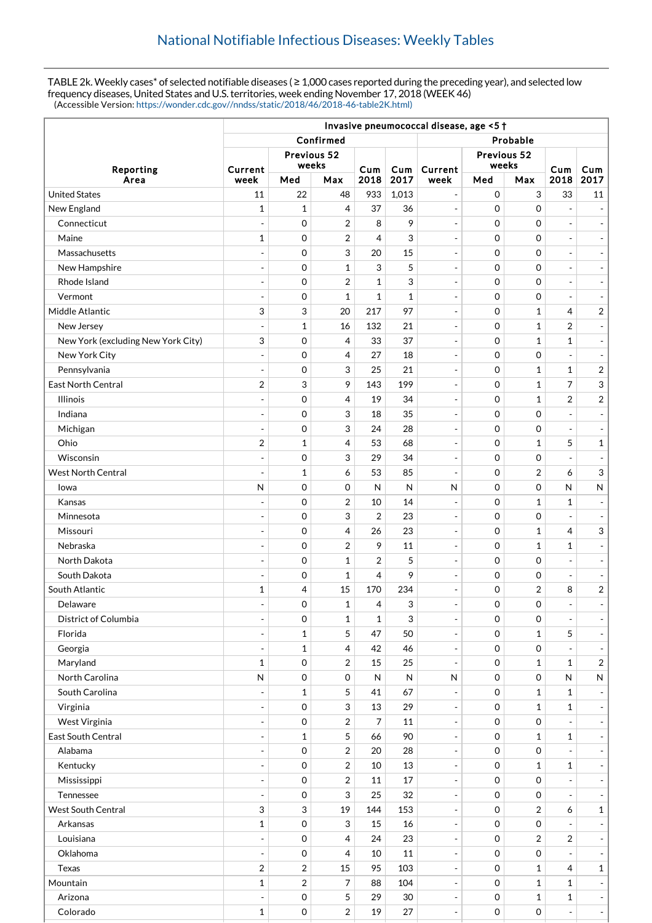TABLE 2k. Weekly cases\* of selected notifiable diseases ( $\geq 1,000$  cases reported during the preceding year), and selected low frequency diseases, United States and U.S. territories, week ending November 17, 2018 (WEEK 46) (Accessible Version: [https://wonder.cdc.gov//nndss/static/2018/46/2018-46-table2K.html\)](https://wonder.cdc.gov//nndss/static/2018/46/2018-46-table2K.html)

|                                    | Invasive pneumococcal disease, age <5 + |                     |                     |                |              |                          |                     |                     |                          |                              |  |
|------------------------------------|-----------------------------------------|---------------------|---------------------|----------------|--------------|--------------------------|---------------------|---------------------|--------------------------|------------------------------|--|
|                                    | Confirmed                               |                     |                     |                |              | Probable                 |                     |                     |                          |                              |  |
| Reporting                          | Previous 52                             |                     |                     |                |              | Previous 52              |                     |                     |                          |                              |  |
|                                    | Current                                 | weeks               |                     | Cum            | Cum          | Current                  | weeks               |                     | Cum                      | Cum                          |  |
| Area                               | week                                    | Med                 | Max                 | 2018           | 2017         | week                     | Med                 | Max                 | 2018                     | 2017                         |  |
| <b>United States</b>               | 11                                      | 22                  | 48                  | 933            | 1,013        | $\overline{\phantom{a}}$ | $\mathbf 0$         | 3                   | 33                       | 11                           |  |
| New England                        | 1                                       | $\mathbf{1}$        | $\overline{4}$      | 37             | 36           | $\overline{\phantom{a}}$ | $\mathbf 0$         | $\mathbf 0$         | $\overline{a}$           | $\overline{a}$               |  |
| Connecticut                        | $\overline{\phantom{a}}$                | $\mathbf 0$         | $\overline{2}$      | 8              | 9            | $\overline{\phantom{a}}$ | $\mathbf 0$         | $\mathbf 0$         | $\overline{a}$           | $\sim$                       |  |
| Maine                              | 1                                       | $\mathbf 0$         | $\overline{2}$      | 4              | 3            | $\overline{\phantom{a}}$ | $\mathbf 0$         | $\mathbf 0$         | $\overline{a}$           | $\overline{\phantom{a}}$     |  |
| Massachusetts                      | $\overline{\phantom{a}}$                | $\mathbf 0$         | 3                   | 20             | 15           | $\blacksquare$           | $\mathbf 0$         | $\mathbf 0$         | $\overline{a}$           | $\blacksquare$               |  |
| New Hampshire                      | $\overline{a}$                          | $\mathbf 0$         | 1                   | 3              | 5            | $\blacksquare$           | $\mathbf 0$         | $\mathbf 0$         | $\overline{a}$           | $\qquad \qquad \blacksquare$ |  |
| Rhode Island                       | ÷,                                      | $\mathbf 0$         | $\overline{2}$      | $\mathbf 1$    | 3            | $\blacksquare$           | $\mathbf 0$         | $\mathbf 0$         | $\overline{a}$           | $\overline{\phantom{a}}$     |  |
| Vermont                            | ÷,                                      | 0                   | 1                   | 1              | 1            | $\overline{\phantom{a}}$ | $\mathbf 0$         | $\mathbf 0$         | $\overline{a}$           |                              |  |
| Middle Atlantic                    | 3                                       | 3                   | 20                  | 217            | 97           | $\blacksquare$           | $\mathbf 0$         | $\mathbf{1}$        | 4                        | $\sqrt{2}$                   |  |
| New Jersey                         | ÷,                                      | $\mathbf{1}$        | 16                  | 132            | 21           | $\overline{\phantom{a}}$ | $\mathbf 0$         | $\mathbf{1}$        | 2                        |                              |  |
| New York (excluding New York City) | 3                                       | 0                   | 4                   | 33             | 37           | $\overline{\phantom{a}}$ | $\mathbf 0$         | $\mathbf{1}$        | $\mathbf{1}$             | $\overline{\phantom{a}}$     |  |
| New York City                      | $\overline{a}$                          | $\mathbf 0$         | 4                   | 27             | 18           | $\overline{\phantom{a}}$ | $\mathbf 0$         | $\mathbf 0$         | $\overline{a}$           | $\overline{\phantom{a}}$     |  |
| Pennsylvania                       | $\blacksquare$                          | $\mathbf 0$         | 3                   | 25             | 21           | $\overline{\phantom{a}}$ | $\mathbf 0$         | $\mathbf{1}$        | $\mathbf{1}$             | $\sqrt{2}$                   |  |
| <b>East North Central</b>          | $\overline{2}$                          | 3                   | 9                   | 143            | 199          | $\blacksquare$           | $\mathbf 0$         | $\mathbf{1}$        | 7                        | 3                            |  |
| <b>Illinois</b>                    | ÷                                       | $\mathbf 0$         | $\overline{4}$      | 19             | 34           | $\overline{\phantom{a}}$ | $\mathbf 0$         | $\mathbf{1}$        | $\overline{2}$           | $\sqrt{2}$                   |  |
| Indiana                            | ٠                                       | $\mathbf 0$         | 3                   | 18             | 35           | $\overline{\phantom{a}}$ | $\mathbf 0$         | $\mathbf 0$         | $\overline{a}$           | $\sim$                       |  |
| Michigan                           | ÷,                                      | $\mathbf 0$         | 3                   | 24             | 28           | $\blacksquare$           | $\mathbf 0$         | $\mathbf 0$         | $\overline{a}$           |                              |  |
| Ohio                               | $\overline{2}$                          | $\mathbf{1}$        | 4                   | 53             | 68           | $\blacksquare$           | $\mathbf 0$         | $\mathbf{1}$        | 5                        | $\mathbf{1}$                 |  |
| Wisconsin                          | $\overline{a}$                          | $\mathbf 0$         | 3                   | 29             | 34           | $\blacksquare$           | $\mathbf 0$         | $\boldsymbol{0}$    | $\overline{a}$           |                              |  |
| West North Central                 | ÷                                       | $\mathbf{1}$        | 6                   | 53             | 85           | $\overline{\phantom{a}}$ | $\mathbf 0$         | $\overline{2}$      | 6                        | $\ensuremath{\mathsf{3}}$    |  |
| lowa                               | $\mathsf{N}$                            | $\mathbf 0$         | $\mathbf 0$         | N              | $\mathsf{N}$ | $\mathsf{N}$             | $\mathbf 0$         | $\mathbf 0$         | N                        | ${\sf N}$                    |  |
| Kansas                             | ÷,                                      | $\mathbf 0$         | $\boldsymbol{2}$    | 10             | 14           | $\overline{\phantom{a}}$ | $\mathbf 0$         | $\mathbf{1}$        | 1                        | $\overline{a}$               |  |
| Minnesota                          | ÷,                                      | $\mathbf 0$         | 3                   | $\overline{2}$ | 23           | $\overline{\phantom{a}}$ | $\mathbf 0$         | $\mathbf 0$         | $\overline{a}$           |                              |  |
| Missouri                           | ÷                                       | $\mathbf 0$         | $\overline{4}$      | 26             | 23           | $\overline{\phantom{a}}$ | $\Omega$            | $\mathbf{1}$        | 4                        | 3                            |  |
| Nebraska                           | $\overline{a}$                          | $\mathbf 0$         | $\overline{2}$      | 9              | 11           | $\blacksquare$           | $\mathbf 0$         | $\mathbf{1}$        | 1                        | $\overline{a}$               |  |
| North Dakota                       | $\overline{\phantom{a}}$                | $\mathbf 0$         | $\mathbf 1$         | $\overline{2}$ | 5            | $\overline{\phantom{a}}$ | $\mathbf 0$         | $\mathbf 0$         | $\overline{a}$           | $\overline{\phantom{m}}$     |  |
| South Dakota                       | ٠                                       | 0                   | $\mathbf{1}$        | 4              | 9            | $\overline{\phantom{a}}$ | $\mathbf 0$         | $\mathbf 0$         | ÷,                       | $\overline{\phantom{a}}$     |  |
| South Atlantic                     | 1                                       | 4                   | 15                  | 170            | 234          | $\blacksquare$           | $\mathbf 0$         | $\boldsymbol{2}$    | 8                        | $\sqrt{2}$                   |  |
| Delaware                           |                                         | $\mathbf 0$         | $\mathbf 1$         | 4              | 3            | $\overline{\phantom{a}}$ | $\Omega$            | $\mathbf 0$         | $\overline{\phantom{a}}$ |                              |  |
| District of Columbia               | ÷,                                      | $\mathbf 0$         | 1                   | 1              | 3            | $\overline{\phantom{a}}$ | $\mathbf 0$         | 0                   |                          |                              |  |
| Florida                            | ÷,                                      | $\mathbf{1}$        | 5                   | 47             | 50           | $\Box$                   | $\mathsf{O}\xspace$ | $\mathbf{1}$        | 5                        |                              |  |
| Georgia                            |                                         | $\mathbf{1}$        | $\overline{4}$      | 42             | 46           | $\overline{\phantom{a}}$ | $\mathsf{O}\xspace$ | 0                   |                          |                              |  |
| Maryland                           | $\mathbf{1}$                            | $\mathsf{O}\xspace$ | $\sqrt{2}$          | 15             | 25           | $\overline{\phantom{a}}$ | $\mathbf 0$         | $\mathbf{1}$        | $\mathbf{1}$             | $\sqrt{2}$                   |  |
| North Carolina                     | N                                       | $\mathsf{O}\xspace$ | $\mathsf{O}\xspace$ | N              | ${\sf N}$    | N                        | $\mathbf 0$         | 0                   | N                        | ${\sf N}$                    |  |
| South Carolina                     |                                         | $\mathbf{1}$        | 5                   | 41             | 67           | $\overline{\phantom{a}}$ | $\mathbf 0$         | $\mathbf{1}$        | 1                        |                              |  |
| Virginia                           |                                         | $\mathsf{O}\xspace$ | 3                   | 13             | 29           | $\blacksquare$           | $\mathbf 0$         | $\mathbf 1$         | $\mathbf{1}$             |                              |  |
| West Virginia                      | $\overline{\phantom{a}}$                | $\mathbf 0$         | $\sqrt{2}$          | 7              | 11           | $\qquad \qquad -$        | $\mathbf 0$         | $\boldsymbol{0}$    | $\overline{a}$           | $\qquad \qquad \blacksquare$ |  |
| East South Central                 | ٠                                       | $\mathbf{1}$        | 5                   | 66             | 90           | $\overline{\phantom{a}}$ | $\mathbf 0$         | $\mathbf{1}$        | 1                        | $\overline{\phantom{a}}$     |  |
| Alabama                            | $\overline{\phantom{a}}$                | $\mathbf 0$         | $\overline{c}$      | 20             | 28           | $\overline{\phantom{a}}$ | $\mathbf 0$         | $\boldsymbol{0}$    |                          |                              |  |
| Kentucky                           |                                         | $\,0\,$             | $\overline{c}$      | 10             | 13           | $\blacksquare$           | $\mathbf 0$         | $\mathbf{1}$        | $\mathbf 1$              | $\overline{\phantom{a}}$     |  |
| Mississippi                        | $\overline{\phantom{a}}$                | $\mathsf{O}\xspace$ | $\overline{2}$      | 11             | 17           | $\qquad \qquad -$        | 0                   | $\boldsymbol{0}$    |                          |                              |  |
| Tennessee                          | $\blacksquare$                          | $\mathsf{O}\xspace$ | 3                   | 25             | 32           | $\overline{\phantom{a}}$ | $\mathbf 0$         | 0                   | $\overline{a}$           |                              |  |
| West South Central                 | 3                                       | $\sqrt{3}$          | 19                  | 144            | 153          | $\blacksquare$           | $\mathbf 0$         | $\overline{2}$      | 6                        | $\mathbf 1$                  |  |
| Arkansas                           | $\mathbf 1$                             | $\mathbf 0$         | 3                   | 15             | $16\,$       | $\overline{\phantom{a}}$ | $\mathsf{O}\xspace$ | $\mathsf{O}\xspace$ |                          |                              |  |
| Louisiana                          |                                         | $\mathsf{O}\xspace$ | $\overline{4}$      | 24             | 23           | $\Box$                   | $\mathbf 0$         | $\overline{2}$      | $\overline{2}$           |                              |  |
| Oklahoma                           | $\overline{\phantom{a}}$                | $\mathbf 0$         | 4                   | 10             | 11           | $\overline{\phantom{a}}$ | $\mathbf 0$         | $\boldsymbol{0}$    | $\blacksquare$           |                              |  |
| Texas                              | 2                                       | $\overline{2}$      | 15                  | 95             | 103          | $\blacksquare$           | $\mathbf 0$         | $\mathbf{1}$        | 4                        | $\mathbf{1}$                 |  |
| Mountain                           | $\mathbf{1}$                            | $\sqrt{2}$          | $\overline{7}$      | 88             | 104          | $\blacksquare$           | $\mathbf 0$         | $\mathbf{1}$        | $\mathbf{1}$             |                              |  |
| Arizona                            |                                         | $\mbox{O}$          | 5                   | 29             | 30           | $\overline{\phantom{a}}$ | $\mathsf{O}\xspace$ | $\mathbf 1$         | $\mathbf 1$              | $\overline{\phantom{a}}$     |  |
| Colorado                           | $\mathbf{1}$                            | $\mathsf{O}\xspace$ | $\sqrt{2}$          | 19             | 27           | $\overline{\phantom{a}}$ | $\mathsf{O}\xspace$ | 0                   | $\overline{\phantom{a}}$ | $\overline{\phantom{a}}$     |  |
|                                    |                                         |                     |                     |                |              |                          |                     |                     |                          |                              |  |